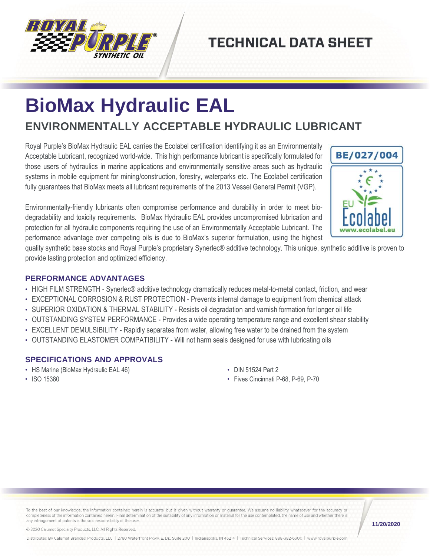

## **TECHNICAL DATA SHEET**

# **BioMax Hydraulic EAL**

### **ENVIRONMENTALLY ACCEPTABLE HYDRAULIC LUBRICANT**

Royal Purple's BioMax Hydraulic EAL carries the Ecolabel certification identifying it as an Environmentally Acceptable Lubricant, recognized world-wide. This high performance lubricant is specifically formulated for those users of hydraulics in marine applications and environmentally sensitive areas such as hydraulic systems in mobile equipment for mining/construction, forestry, waterparks etc. The Ecolabel certification fully guarantees that BioMax meets all lubricant requirements of the 2013 Vessel General Permit (VGP).

Environmentally-friendly lubricants often compromise performance and durability in order to meet biodegradability and toxicity requirements. BioMax Hydraulic EAL provides uncompromised lubrication and protection for all hydraulic components requiring the use of an Environmentally Acceptable Lubricant. The performance advantage over competing oils is due to BioMax's superior formulation, using the highest

BE/027/004

quality synthetic base stocks and Royal Purple's proprietary Synerlec® additive technology. This unique, synthetic additive is proven to provide lasting protection and optimized efficiency.

#### **PERFORMANCE ADVANTAGES**

- HIGH FILM STRENGTH Synerlec® additive technology dramatically reduces metal-to-metal contact, friction, and wear
- EXCEPTIONAL CORROSION & RUST PROTECTION Prevents internal damage to equipment from chemical attack
- SUPERIOR OXIDATION & THERMAL STABILITY Resists oil degradation and varnish formation for longer oil life
- OUTSTANDING SYSTEM PERFORMANCE Provides a wide operating temperature range and excellent shear stability
- EXCELLENT DEMULSIBILITY Rapidly separates from water, allowing free water to be drained from the system
- OUTSTANDING ELASTOMER COMPATIBILITY Will not harm seals designed for use with lubricating oils

#### **SPECIFICATIONS AND APPROVALS**

• HS Marine (BioMax Hydraulic EAL 46)

- DIN 51524 Part 2
- Fives Cincinnati P-68, P-69, P-70

• ISO 15380

To the best of our knowledge, the information contained herein is accurate, but is given without warranty or guarantee. We assume no liability whatsoever for the accuracy or completeness of the information contained herein. Final determination of the suitability of any information or material for the use contemplated, the name of use and whether there is any infringement of patents is the sole responsibility of the user.

**11/20/2020**

© 2020 Calumet Specialty Products, LLC, All Rights Reserved.

Distributed By Calumet Branded Products, LLC | 2780 Waterfront Pkwy. E. Dr., Suite 200 | Indianapolis, IN 46214 | Technical Services: 888-382-6300 | www.royalpurple.com